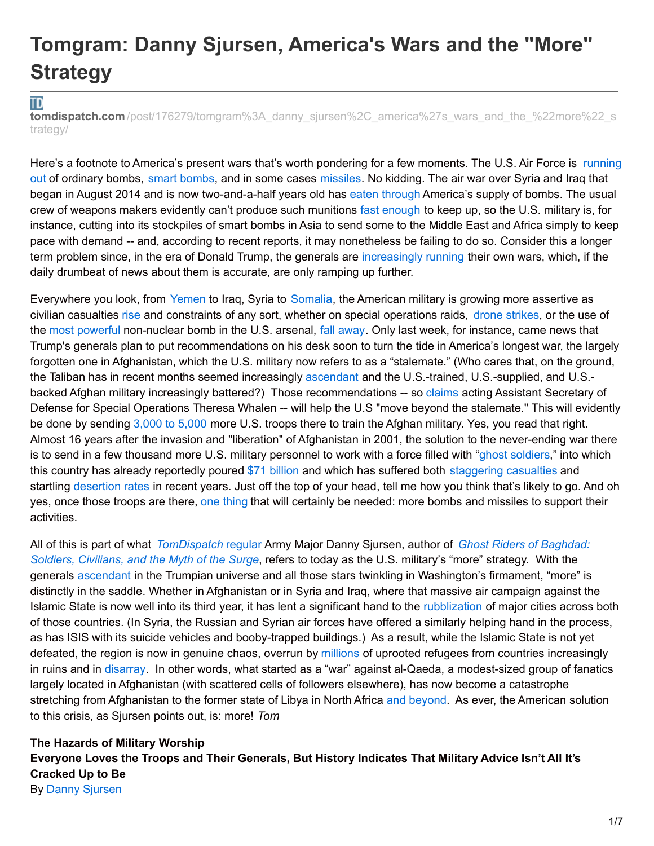# **Tomgram: Danny Sjursen, America's Wars and the "More" Strategy**

# TD

**tomdispatch.com** [/post/176279/tomgram%3A\\_danny\\_sjursen%2C\\_america%27s\\_wars\\_and\\_the\\_%22more%22\\_s](http://www.tomdispatch.com/post/176279/tomgram%253A_danny_sjursen%252C_america) trategy/

Here's a footnote to America's present wars that's worth [pondering](http://www.theblaze.com/news/2017/05/01/america-is-dropping-so-many-bombs-on-isis-that-a-top-admiral-says-hes-running-out-of-bombs/) for a few moments. The U.S. Air Force is running out of ordinary bombs, smart [bombs](http://news.antiwar.com/2017/05/01/us-dropping-bombs-quicker-than-they-can-be-replaced/), and in some cases [missiles](http://www.defenseone.com/business/2017/04/earnings-reports-bomb-shortage-boeing-capitals-hockey/137383/?oref=DefenseOneTCO&utm_content=buffer3e05b&utm_medium=social&utm_source=twitter.com&utm_campaign=buffer). No kidding. The air war over Syria and Iraq that began in August 2014 and is now two-and-a-half years old has eaten [through](http://gizmodo.com/america-is-dropping-so-many-bombs-on-isis-that-were-lit-1794736697) America's supply of bombs. The usual crew of weapons makers evidently can't produce such munitions fast [enough](https://www.usnews.com/news/world/articles/2017-02-17/us-raiding-foreign-weapons-stockpiles-to-support-war-against-the-islamic-state-group) to keep up, so the U.S. military is, for instance, cutting into its stockpiles of smart bombs in Asia to send some to the Middle East and Africa simply to keep pace with demand -- and, according to recent reports, it may nonetheless be failing to do so. Consider this a longer term problem since, in the era of Donald Trump, the generals are [increasingly](http://www.theamericanconservative.com/articles/a-civilian-controlled-military-if-you-can-keep-it/) running their own wars, which, if the daily drumbeat of news about them is accurate, are only ramping up further.

Everywhere you look, from [Yemen](http://blogs.cfr.org/zenko/2017/03/02/the-not-so-peaceful-transition-of-power/) to Iraq, Syria to [Somalia](http://www.cnn.com/2017/05/05/politics/us-military-member-killed-somalia/index.html), the American military is growing more assertive as civilian casualties [rise](http://www.rollingstone.com/politics/features/the-world-is-getting-a-taste-of-the-trump-doctrine-w476839) and constraints of any sort, whether on special operations raids, drone [strikes](http://thehill.com/policy/defense/323808-trump-gives-cia-power-to-launch-drone-strikes-report), or the use of the most [powerful](https://www.theguardian.com/world/2017/may/05/us-military-afghanistan-bomb-moab) non-nuclear bomb in the U.S. arsenal, fall [away](https://www.nytimes.com/2017/03/12/us/politics/trump-loosen-counterterrorism-rules.html). Only last week, for instance, came news that Trump's generals plan to put recommendations on his desk soon to turn the tide in America's longest war, the largely forgotten one in Afghanistan, which the U.S. military now refers to as a "stalemate." (Who cares that, on the ground, the Taliban has in recent months seemed increasingly [ascendant](http://news.antiwar.com/2016/01/29/report-taliban-controls-more-of-afghanistan-than-any-time-since-2001/) and the U.S.-trained, U.S.-supplied, and U.S.backed Afghan military increasingly battered?) Those recommendations -- so [claims](http://www.cnn.com/2017/05/04/politics/pentagon-afghanistan-recommendations-trump/) acting Assistant Secretary of Defense for Special Operations Theresa Whalen -- will help the U.S "move beyond the stalemate." This will evidently be done by sending [3,000](http://www.reuters.com/article/us-usa-afghanistan-trump-idUSKBN1801W4) to 5,000 more U.S. troops there to train the Afghan military. Yes, you read that right. Almost 16 years after the invasion and "liberation" of Afghanistan in 2001, the solution to the never-ending war there is to send in a few thousand more U.S. military personnel to work with a force filled with "ghost [soldiers](http://www.foxnews.com/world/2017/01/12/afghanistans-ghost-soldiers-take-scary-toll-on-us-taxpayers-says-watchdog.html)," into which this country has already reportedly poured \$71 [billion](https://www.sigar.mil/pdf/quarterlyreports/2017-04-30qr.pdf?utm_source=Sailthru&utm_medium=email&utm_campaign=New Campaign&utm_term=%2ASituation Report) and which has suffered both [staggering](https://www.bloomberg.com/politics/articles/2017-05-01/afghan-deaths-soar-to-highest-on-record-as-u-s-weighs-strategy) casualties and startling [desertion](https://www.nytimes.com/2017/04/24/world/asia/afghanistan-taliban-defense-minister-resigns.html) rates in recent years. Just off the top of your head, tell me how you think that's likely to go. And oh yes, once those troops are there, one [thing](https://www.washingtonpost.com/world/national-security/us-poised-to-expand-military-effort-against-taliban-in-afghanistan/2017/05/08/356c4930-33fa-11e7-b412-62beef8121f7_story.html?utm_term=.bf4b41c73ee5) that will certainly be needed: more bombs and missiles to support their activities.

All of this is part of what *[TomDispatch](https://www.amazon.com/dp/1611687810/ref=nosim/?tag=tomdispatch-20)* regular Army Major Danny Sjursen, author of *Ghost Riders of Baghdad: Soldiers, Civilians, and the Myth of the Surge*, refers to today as the U.S. military's "more" strategy. With the generals [ascendant](http://www.tomdispatch.com/blog/176224/tomgram%3A_william_astore%2C_all_the_president%27s_generals/) in the Trumpian universe and all those stars twinkling in Washington's firmament, "more" is distinctly in the saddle. Whether in Afghanistan or in Syria and Iraq, where that massive air campaign against the Islamic State is now well into its third year, it has lent a significant hand to the [rubblization](http://www.cbsnews.com/news/ramadi-iraq-isis-us-airstrikes-change-in-air-war-scorched-earth/) of major cities across both of those countries. (In Syria, the Russian and Syrian air forces have offered a similarly helping hand in the process, as has ISIS with its suicide vehicles and booby-trapped buildings.) As a result, while the Islamic State is not yet defeated, the region is now in genuine chaos, overrun by [millions](http://www.unhcr.org/en-us/figures-at-a-glance.html) of uprooted refugees from countries increasingly in ruins and in [disarray](http://www.tomdispatch.com/post/176094/tomgram%3A_engelhardt,_tomorrow%27s_news_today/). In other words, what started as a "war" against al-Qaeda, a modest-sized group of fanatics largely located in Afghanistan (with scattered cells of followers elsewhere), has now become a catastrophe stretching from Afghanistan to the former state of Libya in North Africa and [beyond](http://www.tomdispatch.com/blog/176272/tomgram%3A_nick_turse%2C_the_u.s._military_moves_deeper_into_africa/). As ever, the American solution to this crisis, as Sjursen points out, is: more! *Tom*

**The Hazards of Military Worship Everyone Loves the Troops and Their Generals, But History Indicates That Military Advice Isn't All It's Cracked Up to Be** By Danny [Sjursen](http://www.tomdispatch.com/authors/dannysjursen)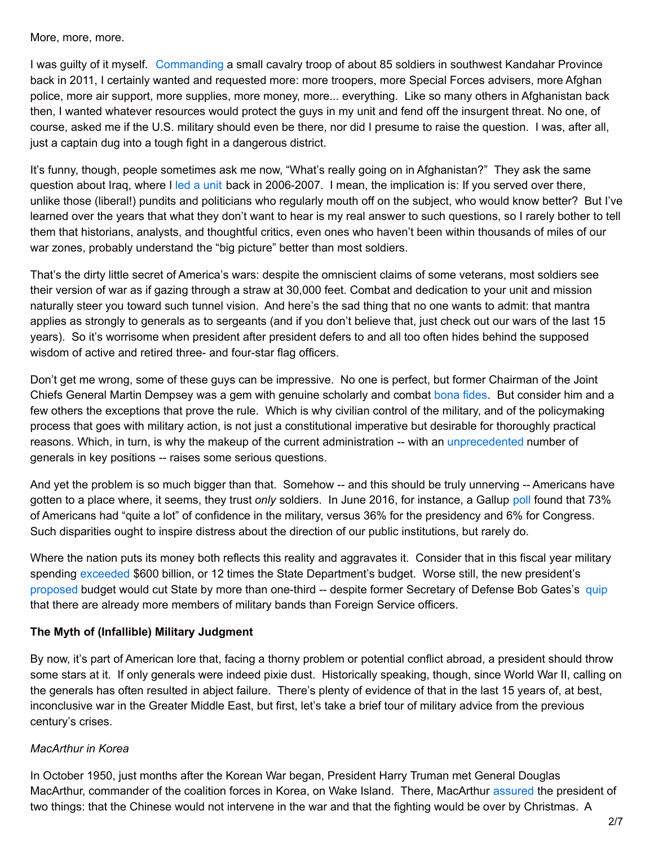More, more, more.

I was guilty of it myself. [Commanding](http://www.reuters.com/article/us-sept11-afghanistan-pakistan-idUSTRE7861F620110907) a small cavalry troop of about 85 soldiers in southwest Kandahar Province back in 2011, I certainly wanted and requested more: more troopers, more Special Forces advisers, more Afghan police, more air support, more supplies, more money, more... everything. Like so many others in Afghanistan back then, I wanted whatever resources would protect the guys in my unit and fend off the insurgent threat. No one, of course, asked me if the U.S. military should even be there, nor did I presume to raise the question. I was, after all, just a captain dug into a tough fight in a dangerous district.

It's funny, though, people sometimes ask me now, "What's really going on in Afghanistan?" They ask the same question about Iraq, where I led a [unit](http://www.tomdispatch.com/blog/176252/) back in 2006-2007. I mean, the implication is: If you served over there, unlike those (liberal!) pundits and politicians who regularly mouth off on the subject, who would know better? But I've learned over the years that what they don't want to hear is my real answer to such questions, so I rarely bother to tell them that historians, analysts, and thoughtful critics, even ones who haven't been within thousands of miles of our war zones, probably understand the "big picture" better than most soldiers.

That's the dirty little secret of America's wars: despite the omniscient claims of some veterans, most soldiers see their version of war as if gazing through a straw at 30,000 feet. Combat and dedication to your unit and mission naturally steer you toward such tunnel vision. And here's the sad thing that no one wants to admit: that mantra applies as strongly to generals as to sergeants (and if you don't believe that, just check out our wars of the last 15 years). So it's worrisome when president after president defers to and all too often hides behind the supposed wisdom of active and retired three- and four-star flag officers.

Don't get me wrong, some of these guys can be impressive. No one is perfect, but former Chairman of the Joint Chiefs General Martin Dempsey was a gem with genuine scholarly and combat [bona](https://www.defense.gov/About/Biographies/Biography-View/Article/602694/) fides. But consider him and a few others the exceptions that prove the rule. Which is why civilian control of the military, and of the policymaking process that goes with military action, is not just a constitutional imperative but desirable for thoroughly practical reasons. Which, in turn, is why the makeup of the current administration -- with an [unprecedented](http://www.cnn.com/2016/12/09/opinions/should-americans-worry-about-trump-generals-miller/) number of generals in key positions -- raises some serious questions.

And yet the problem is so much bigger than that. Somehow -- and this should be truly unnerving -- Americans have gotten to a place where, it seems, they trust *only* soldiers. In June 2016, for instance, a Gallup [poll](http://www.gallup.com/poll/1597/confidence-institutions.aspx) found that 73% of Americans had "quite a lot" of confidence in the military, versus 36% for the presidency and 6% for Congress. Such disparities ought to inspire distress about the direction of our public institutions, but rarely do.

Where the nation puts its money both reflects this reality and aggravates it. Consider that in this fiscal year military spending [exceeded](http://www.newsweek.com/2016/07/08/state-department-pentagon-diplomacy-475655.html) \$600 billion, or 12 times the State Department's budget. Worse still, the new president's [proposed](https://www.wsj.com/articles/white-house-proposes-cutting-state-department-budget-by-one-third-1488306999) budget would cut State by more than one-third -- despite former Secretary of Defense Bob Gates's [quip](http://www.newsmax.com/FareedZakaria/military-foreign-affairs-petraeus/2017/03/03/id/776760/) that there are already more members of military bands than Foreign Service officers.

#### **The Myth of (Infallible) Military Judgment**

By now, it's part of American lore that, facing a thorny problem or potential conflict abroad, a president should throw some stars at it. If only generals were indeed pixie dust. Historically speaking, though, since World War II, calling on the generals has often resulted in abject failure. There's plenty of evidence of that in the last 15 years of, at best, inconclusive war in the Greater Middle East, but first, let's take a brief tour of military advice from the previous century's crises.

#### *MacArthur in Korea*

In October 1950, just months after the Korean War began, President Harry Truman met General Douglas MacArthur, commander of the coalition forces in Korea, on Wake Island. There, MacArthur [assured](http://www.counterpunch.org/2008/08/08/bad-advice-from-generals/) the president of two things: that the Chinese would not intervene in the war and that the fighting would be over by Christmas. A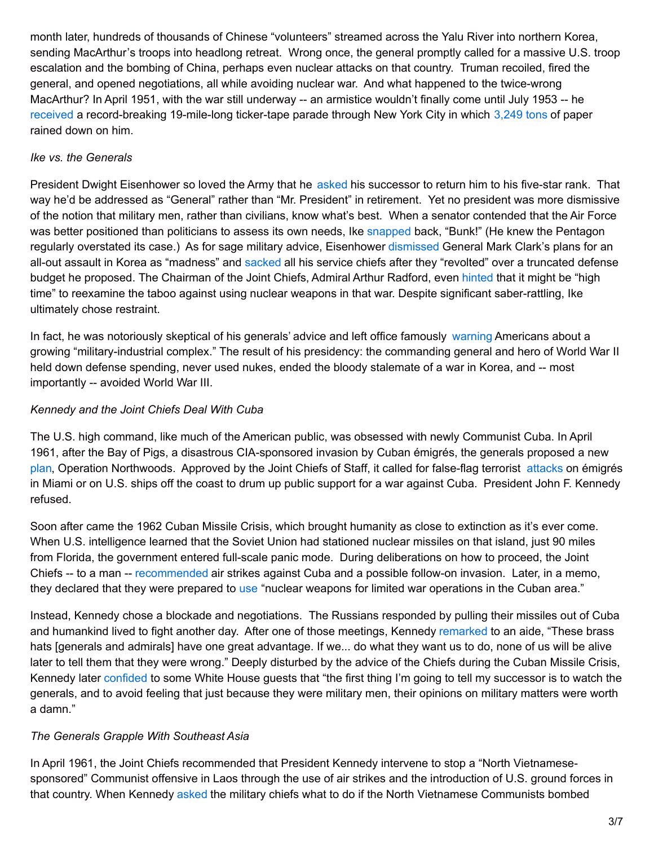month later, hundreds of thousands of Chinese "volunteers" streamed across the Yalu River into northern Korea, sending MacArthur's troops into headlong retreat. Wrong once, the general promptly called for a massive U.S. troop escalation and the bombing of China, perhaps even nuclear attacks on that country. Truman recoiled, fired the general, and opened negotiations, all while avoiding nuclear war. And what happened to the twice-wrong MacArthur? In April 1951, with the war still underway -- an armistice wouldn't finally come until July 1953 -- he [received](http://archives.chicagotribune.com/1951/04/21/page/1/article/7-1-2-millions-hail-general-in-new-york) a record-breaking 19-mile-long ticker-tape parade through New York City in which [3,249](http://www.nytimes.com/1986/10/29/nyregion/ticker-tape-parades-which-were-biggest.html) tons of paper rained down on him.

#### *Ike vs. the Generals*

President Dwight Eisenhower so loved the Army that he [asked](http://www.foxnews.com/opinion/2012/12/16/ike-and-generals-how-eisenhower-stood-up-to-his-own-military.html) his successor to return him to his five-star rank. That way he'd be addressed as "General" rather than "Mr. President" in retirement. Yet no president was more dismissive of the notion that military men, rather than civilians, know what's best. When a senator contended that the Air Force was better positioned than politicians to assess its own needs, Ike [snapped](http://www.foxnews.com/opinion/2012/12/16/ike-and-generals-how-eisenhower-stood-up-to-his-own-military.html) back, "Bunk!" (He knew the Pentagon regularly overstated its case.) As for sage military advice, Eisenhower [dismissed](https://books.google.com/books?id=VItCCwAAQBAJ&pg=PA169&lpg=PA169&dq=eisenhower+and+generals+president+conflict&source=bl&ots=ozfYVuADdI&sig=69qwKWhYgg92oRzirvRYFNow9HM&hl=en&sa=X&ved=0ahUKEwjKnP2RlrjTAhVH3mMKHdh4BlM4ChDoAQhKMAg#v=onepage&q=eisenhower and generals president conflict&f=false) General Mark Clark's plans for an all-out assault in Korea as "madness" and [sacked](https://books.google.com/books?id=VItCCwAAQBAJ&pg=PA169&lpg=PA169&dq=eisenhower+and+generals+president+conflict&source=bl&ots=ozfYVuADdI&sig=69qwKWhYgg92oRzirvRYFNow9HM&hl=en&sa=X&ved=0ahUKEwjKnP2RlrjTAhVH3mMKHdh4BlM4ChDoAQhKMAg#v=onepage&q=eisenhower and generals president conflict&f=false) all his service chiefs after they "revolted" over a truncated defense budget he proposed. The Chairman of the Joint Chiefs, Admiral Arthur Radford, even [hinted](http://www.foxnews.com/opinion/2012/12/16/ike-and-generals-how-eisenhower-stood-up-to-his-own-military.html) that it might be "high time" to reexamine the taboo against using nuclear weapons in that war. Despite significant saber-rattling, Ike ultimately chose restraint.

In fact, he was notoriously skeptical of his generals' advice and left office famously [warning](http://www.npr.org/2011/01/17/132942244/ikes-warning-of-military-expansion-50-years-later) Americans about a growing "military-industrial complex." The result of his presidency: the commanding general and hero of World War II held down defense spending, never used nukes, ended the bloody stalemate of a war in Korea, and -- most importantly -- avoided World War III.

# *Kennedy and the Joint Chiefs Deal With Cuba*

The U.S. high command, like much of the American public, was obsessed with newly Communist Cuba. In April 1961, after the Bay of Pigs, a disastrous CIA-sponsored invasion by Cuban émigrés, the generals proposed a new [plan](http://abcnews.go.com/US/story?id=92662&page=1), Operation Northwoods. Approved by the Joint Chiefs of Staff, it called for false-flag terrorist [attacks](https://www.theatlantic.com/magazine/archive/2013/08/jfk-vs-the-military/309496/) on émigrés in Miami or on U.S. ships off the coast to drum up public support for a war against Cuba. President John F. Kennedy refused.

Soon after came the 1962 Cuban Missile Crisis, which brought humanity as close to extinction as it's ever come. When U.S. intelligence learned that the Soviet Union had stationed nuclear missiles on that island, just 90 miles from Florida, the government entered full-scale panic mode. During deliberations on how to proceed, the Joint Chiefs -- to a man -- [recommended](https://www.theatlantic.com/magazine/archive/2013/08/jfk-vs-the-military/309496/) air strikes against Cuba and a possible follow-on invasion. Later, in a memo, they declared that they were prepared to [use](https://www.theatlantic.com/magazine/archive/2013/08/jfk-vs-the-military/309496/) "nuclear weapons for limited war operations in the Cuban area."

Instead, Kennedy chose a blockade and negotiations. The Russians responded by pulling their missiles out of Cuba and humankind lived to fight another day. After one of those meetings, Kennedy [remarked](https://www.theatlantic.com/magazine/archive/2013/08/jfk-vs-the-military/309496/) to an aide, "These brass hats [generals and admirals] have one great advantage. If we... do what they want us to do, none of us will be alive later to tell them that they were wrong." Deeply disturbed by the advice of the Chiefs during the Cuban Missile Crisis, Kennedy later [confided](https://www.theatlantic.com/magazine/archive/2013/08/jfk-vs-the-military/309496/) to some White House quests that "the first thing I'm going to tell my successor is to watch the generals, and to avoid feeling that just because they were military men, their opinions on military matters were worth a damn."

# *The Generals Grapple With Southeast Asia*

In April 1961, the Joint Chiefs recommended that President Kennedy intervene to stop a "North Vietnamesesponsored" Communist offensive in Laos through the use of air strikes and the introduction of U.S. ground forces in that country. When Kennedy [asked](https://www.theatlantic.com/magazine/archive/2013/08/jfk-vs-the-military/309496/) the military chiefs what to do if the North Vietnamese Communists bombed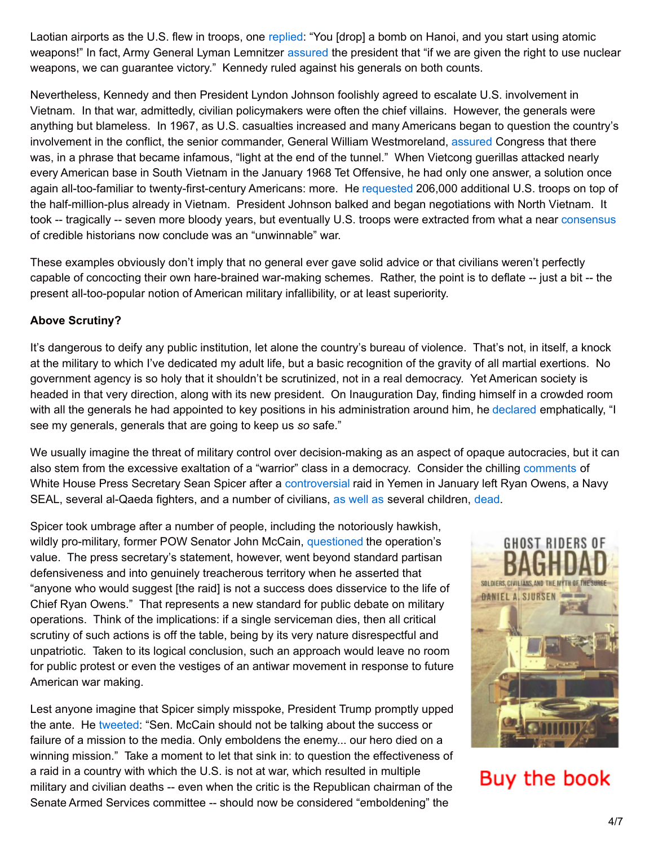Laotian airports as the U.S. flew in troops, one [replied](https://www.theatlantic.com/magazine/archive/2013/08/jfk-vs-the-military/309496/): "You [drop] a bomb on Hanoi, and you start using atomic weapons!" In fact, Army General Lyman Lemnitzer [assured](https://www.theatlantic.com/magazine/archive/2013/08/jfk-vs-the-military/309496/) the president that "if we are given the right to use nuclear weapons, we can guarantee victory." Kennedy ruled against his generals on both counts.

Nevertheless, Kennedy and then President Lyndon Johnson foolishly agreed to escalate U.S. involvement in Vietnam. In that war, admittedly, civilian policymakers were often the chief villains. However, the generals were anything but blameless. In 1967, as U.S. casualties increased and many Americans began to question the country's involvement in the conflict, the senior commander, General William Westmoreland, [assured](http://www.counterpunch.org/2008/08/08/bad-advice-from-generals/) Congress that there was, in a phrase that became infamous, "light at the end of the tunnel." When Vietcong guerillas attacked nearly every American base in South Vietnam in the January 1968 Tet Offensive, he had only one answer, a solution once again all-too-familiar to twenty-first-century Americans: more. He [requested](http://www.counterpunch.org/2008/08/08/bad-advice-from-generals/) 206,000 additional U.S. troops on top of the half-million-plus already in Vietnam. President Johnson balked and began negotiations with North Vietnam. It took -- tragically -- seven more bloody years, but eventually U.S. troops were extracted from what a near [consensus](https://academic.oup.com/jah/article-abstract/97/1/244/719279/Vietnam-The-History-of-an-Unwinnable-War-1945-1975?redirectedFrom=fulltext) of credible historians now conclude was an "unwinnable" war.

These examples obviously don't imply that no general ever gave solid advice or that civilians weren't perfectly capable of concocting their own hare-brained war-making schemes. Rather, the point is to deflate -- just a bit -- the present all-too-popular notion of American military infallibility, or at least superiority.

### **Above Scrutiny?**

It's dangerous to deify any public institution, let alone the country's bureau of violence. That's not, in itself, a knock at the military to which I've dedicated my adult life, but a basic recognition of the gravity of all martial exertions. No government agency is so holy that it shouldn't be scrutinized, not in a real democracy. Yet American society is headed in that very direction, along with its new president. On Inauguration Day, finding himself in a crowded room with all the generals he had appointed to key positions in his administration around him, he [declared](http://www.huffingtonpost.com/tom-engelhardt/trumps-shows-off-his-generals_b_14418058.html) emphatically, "I see my generals, generals that are going to keep us *so* safe."

We usually imagine the threat of military control over decision-making as an aspect of opaque autocracies, but it can also stem from the excessive exaltation of a "warrior" class in a democracy. Consider the chilling [comments](http://www.nbcnews.com/news/us-news/yemen-raid-spicer-says-mccain-other-critics-owe-apology-dead-n718446) of White House Press Secretary Sean Spicer after a [controversial](http://www.salon.com/2017/02/28/trumps-yemen-raid-that-left-a-navy-seal-dead-didnt-lead-to-useful-intelligence-report/) raid in Yemen in January left Ryan Owens, a Navy SEAL, several al-Qaeda fighters, and a number of civilians, as [well](https://www.thebureauinvestigates.com/stories/2017-02-09/nine-young-children-killed-the-full-details-of-botched-us-raid-in-yemen) as several children, [dead](http://www.nbcnews.com/news/us-news/yemen-raid-had-secret-target-al-qaeda-leader-qassim-al-n717616).

Spicer took umbrage after a number of people, including the notoriously hawkish, wildly pro-military, former POW Senator John McCain, [questioned](http://www.salon.com/2017/02/09/john-mccains-feud-with-donald-trump-continues-over-failed-yemen-raid/) the operation's value. The press secretary's statement, however, went beyond standard partisan defensiveness and into genuinely treacherous territory when he asserted that "anyone who would suggest [the raid] is not a success does disservice to the life of Chief Ryan Owens." That represents a new standard for public debate on military operations. Think of the implications: if a single serviceman dies, then all critical scrutiny of such actions is off the table, being by its very nature disrespectful and unpatriotic. Taken to its logical conclusion, such an approach would leave no room for public protest or even the vestiges of an antiwar movement in response to future American war making.

Lest anyone imagine that Spicer simply misspoke, President Trump promptly upped the ante. He [tweeted](http://www.salon.com/2017/02/09/john-mccains-feud-with-donald-trump-continues-over-failed-yemen-raid/): "Sen. McCain should not be talking about the success or failure of a mission to the media. Only emboldens the enemy... our hero died on a winning mission." Take a moment to let that sink in: to question the effectiveness of a raid in a country with which the U.S. is not at war, which resulted in multiple military and civilian deaths -- even when the critic is the Republican chairman of the Senate Armed Services committee -- should now be considered "emboldening" the



# Buy the book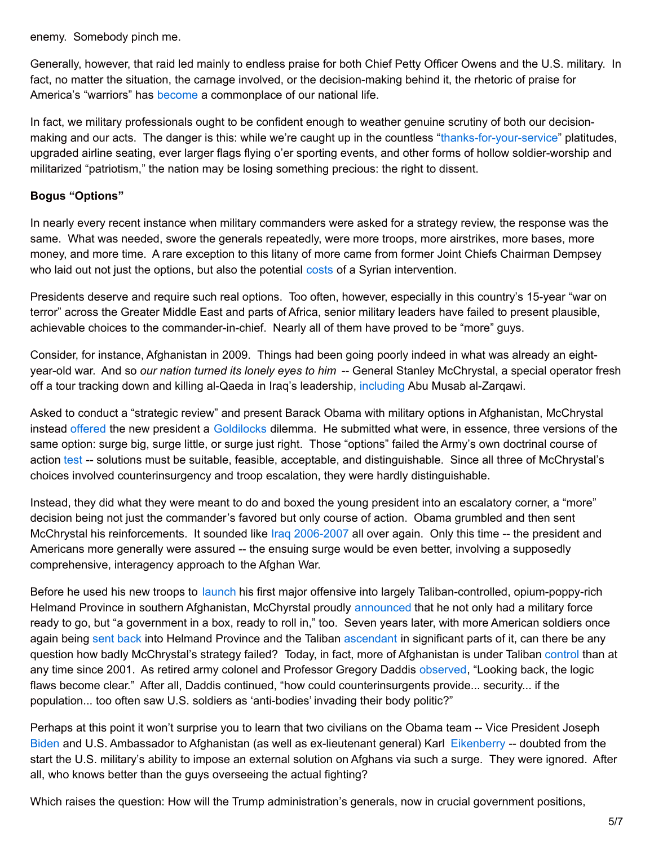enemy. Somebody pinch me.

Generally, however, that raid led mainly to endless praise for both Chief Petty Officer Owens and the U.S. military. In fact, no matter the situation, the carnage involved, or the decision-making behind it, the rhetoric of praise for America's "warriors" has [become](http://www.slate.com/articles/news_and_politics/ballot_box/2004/09/imperial_president.html) a commonplace of our national life.

In fact, we military professionals ought to be confident enough to weather genuine scrutiny of both our decision-making and our acts. The danger is this: while we're caught up in the countless ["thanks-for-your-service](http://www.tomdispatch.com/post/175912/tomgram%3A_rory_fanning,_why_do_we_keep_thanking_the_troops/)" platitudes, upgraded airline seating, ever larger flags flying o'er sporting events, and other forms of hollow soldier-worship and militarized "patriotism," the nation may be losing something precious: the right to dissent.

### **Bogus "Options"**

In nearly every recent instance when military commanders were asked for a strategy review, the response was the same. What was needed, swore the generals repeatedly, were more troops, more airstrikes, more bases, more money, and more time. A rare exception to this litany of more came from former Joint Chiefs Chairman Dempsey who laid out not just the options, but also the potential [costs](https://www.theguardian.com/world/2013/aug/29/general-martin-dempsey-obama-syria) of a Syrian intervention.

Presidents deserve and require such real options. Too often, however, especially in this country's 15-year "war on terror" across the Greater Middle East and parts of Africa, senior military leaders have failed to present plausible, achievable choices to the commander-in-chief. Nearly all of them have proved to be "more" guys.

Consider, for instance, Afghanistan in 2009. Things had been going poorly indeed in what was already an eightyear-old war. And so *our nation turned its lonely eyes to him* -- General Stanley McChrystal, a special operator fresh off a tour tracking down and killing al-Qaeda in Iraq's leadership, [including](http://www.cbsnews.com/news/gen-stanley-mcchrystal-on-the-tasks-behind-him/) Abu Musab al-Zarqawi.

Asked to conduct a "strategic review" and present Barack Obama with military options in Afghanistan, McChrystal instead [offered](http://www.nytimes.com/2009/12/06/world/asia/06reconstruct.html) the new president a [Goldilocks](https://www.laprogressive.com/the-goldilocks-principle-and-afghan-war-options/) dilemma. He submitted what were, in essence, three versions of the same option: surge big, surge little, or surge just right. Those "options" failed the Army's own doctrinal course of action [test](http://www.alu.army.mil/alog/issues/JulAug08/mdmp_at_sddc.html) -- solutions must be suitable, feasible, acceptable, and distinguishable. Since all three of McChrystal's choices involved counterinsurgency and troop escalation, they were hardly distinguishable.

Instead, they did what they were meant to do and boxed the young president into an escalatory corner, a "more" decision being not just the commander's favored but only course of action. Obama grumbled and then sent McChrystal his reinforcements. It sounded like Iraq [2006-2007](http://www.tomdispatch.com/blog/176252/) all over again. Only this time -- the president and Americans more generally were assured -- the ensuing surge would be even better, involving a supposedly comprehensive, interagency approach to the Afghan War.

Before he used his new troops to [launch](http://www.tomdispatch.com/post/176106/tomgram%3A_alfred_mccoy,_washington%27s_twenty-first-century_opium_wars) his first major offensive into largely Taliban-controlled, opium-poppy-rich Helmand Province in southern Afghanistan, McChyrstal proudly [announced](http://www.nytimes.com/2010/02/13/world/asia/13kabul.html) that he not only had a military force ready to go, but "a government in a box, ready to roll in," too. Seven years later, with more American soldiers once again being sent [back](http://www.reuters.com/article/us-afghanistan-marines-idUSKBN17W07L?il=0) into Helmand Province and the Taliban [ascendant](https://www.nytimes.com/2017/04/08/world/asia/afghanistan-army-training-corruption.html) in significant parts of it, can there be any question how badly McChrystal's strategy failed? Today, in fact, more of Afghanistan is under Taliban [control](http://www.weeklystandard.com/ap-taliban-control-more-of-afghanistan-than-at-any-point-since-2001/article/2002859) than at any time since 2001. As retired army colonel and Professor Gregory Daddis [observed](http://ssi.armywarcollege.edu/pubs/parameters/issues/Winter_2016-17/7_Daddis.pdf), "Looking back, the logic flaws become clear." After all, Daddis continued, "how could counterinsurgents provide... security... if the population... too often saw U.S. soldiers as 'anti-bodies' invading their body politic?"

Perhaps at this point it won't surprise you to learn that two civilians on the Obama team -- Vice President Joseph [Biden](http://www.nytimes.com/2009/10/14/world/14biden.html) and U.S. Ambassador to Afghanistan (as well as ex-lieutenant general) Karl [Eikenberry](http://www.politico.com/politico44/perm/1109/eikenberry_resists_632d056c-a7a1-4c32-b8cb-dbbcacadf0b7.html) -- doubted from the start the U.S. military's ability to impose an external solution on Afghans via such a surge. They were ignored. After all, who knows better than the guys overseeing the actual fighting?

Which raises the question: How will the Trump administration's generals, now in crucial government positions,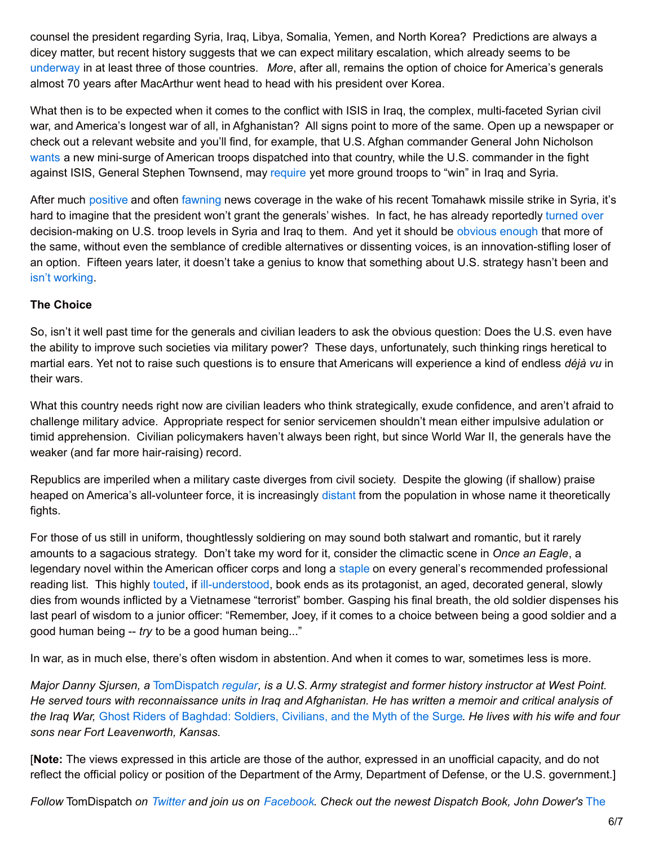counsel the president regarding Syria, Iraq, Libya, Somalia, Yemen, and North Korea? Predictions are always a dicey matter, but recent history suggests that we can expect military escalation, which already seems to be [underway](http://reason.com/blog/2017/03/28/trump-escalates-wars-in-iraq-syria-yemen) in at least three of those countries. *More*, after all, remains the option of choice for America's generals almost 70 years after MacArthur went head to head with his president over Korea.

What then is to be expected when it comes to the conflict with ISIS in Iraq, the complex, multi-faceted Syrian civil war, and America's longest war of all, in Afghanistan? All signs point to more of the same. Open up a newspaper or check out a relevant website and you'll find, for example, that U.S. Afghan commander General John Nicholson [wants](http://nypost.com/2017/03/25/general-wants-surge-of-us-troops-to-break-stalemate-in-afghanistan/) a new mini-surge of American troops dispatched into that country, while the U.S. commander in the fight against ISIS, General Stephen Townsend, may [require](http://www.politico.com/story/2017/03/pentagon-syria-mission-creep-trump-236156) yet more ground troops to "win" in Iraq and Syria.

After much [positive](http://www.foxnews.com/world/2017/04/07/trumps-attack-on-syrian-airbase-draws-widespread-praise-some-criticism.html) and often [fawning](http://www.cnn.com/videos/politics/2017/04/07/fareed-zakaria-trump-became-president-syria-newday.cnn) news coverage in the wake of his recent Tomahawk missile strike in Syria, it's hard to imagine that the president won't grant the generals' wishes. In fact, he has already reportedly [turned](http://www.cbsnews.com/news/trump-gives-pentagon-power-to-determine-u-s-troop-levels-in-iraq-syria/) over decision-making on U.S. troop levels in Syria and Irag to them. And yet it should be [obvious](http://www.tomdispatch.com/blog/176268/) enough that more of the same, without even the semblance of credible alternatives or dissenting voices, is an innovation-stifling loser of an option. Fifteen years later, it doesn't take a genius to know that something about U.S. strategy hasn't been and isn't [working](http://www.tomdispatch.com/blog/176245/tomgram%3A_danny_sjursen,_mission_unaccomplished,_15_years_later/).

# **The Choice**

So, isn't it well past time for the generals and civilian leaders to ask the obvious question: Does the U.S. even have the ability to improve such societies via military power? These days, unfortunately, such thinking rings heretical to martial ears. Yet not to raise such questions is to ensure that Americans will experience a kind of endless *déjà vu* in their wars.

What this country needs right now are civilian leaders who think strategically, exude confidence, and aren't afraid to challenge military advice. Appropriate respect for senior servicemen shouldn't mean either impulsive adulation or timid apprehension. Civilian policymakers haven't always been right, but since World War II, the generals have the weaker (and far more hair-raising) record.

Republics are imperiled when a military caste diverges from civil society. Despite the glowing (if shallow) praise heaped on America's all-volunteer force, it is increasingly [distant](https://www.democracynow.org/2013/9/16/andrew_bacevich_on_breach_of_trust) from the population in whose name it theoretically fights.

For those of us still in uniform, thoughtlessly soldiering on may sound both stalwart and romantic, but it rarely amounts to a sagacious strategy. Don't take my word for it, consider the climactic scene in *Once an Eagle*, a legendary novel within the American officer corps and long a [staple](http://www.nytimes.com/1999/08/16/us/military-goes-by-the-book-but-it-s-a-novel.html) on every general's recommended professional reading list. This highly [touted](http://www.combatreform.org/onceaneagle.htm), if [ill-understood](http://nation.time.com/2011/08/29/in-defense-of-once-an-eagle/), book ends as its protagonist, an aged, decorated general, slowly dies from wounds inflicted by a Vietnamese "terrorist" bomber. Gasping his final breath, the old soldier dispenses his last pearl of wisdom to a junior officer: "Remember, Joey, if it comes to a choice between being a good soldier and a good human being -- *try* to be a good human being..."

In war, as in much else, there's often wisdom in abstention. And when it comes to war, sometimes less is more.

Major Danny Sjursen, a [TomDispatch](http://www.tomdispatch.com/blog/176268/) regular, is a U.S. Army strategist and former history instructor at West Point. He served tours with reconnaissance units in Iraq and Afghanistan. He has written a memoir and critical analysis of *the Iraq War,* Ghost Riders of [Baghdad:](https://www.amazon.com/dp/1611687810/ref=nosim/?tag=tomdispatch-20) Soldiers, Civilians, and the Myth of the Surge. *He lives with his wife and four sons near Fort Leavenworth, Kansas.*

[**Note:** The views expressed in this article are those of the author, expressed in an unofficial capacity, and do not reflect the official policy or position of the Department of the Army, Department of Defense, or the U.S. government.]

Follow [TomDispatch](https://www.amazon.com/dp/1608467236/ref=nosim/?tag=tomdispatch-20) on [Twitter](https://twitter.com/TomDispatch) and join us on [Facebook](http://www.facebook.com/tomdispatch). Check out the newest Dispatch Book, John Dower's The